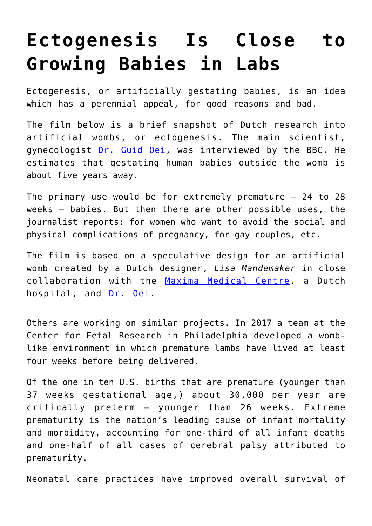## **[Ectogenesis Is Close to](https://intellectualtakeout.org/2019/10/ectogenesis-is-close-to-growing-babies-in-labs/) [Growing Babies in Labs](https://intellectualtakeout.org/2019/10/ectogenesis-is-close-to-growing-babies-in-labs/)**

Ectogenesis, or artificially gestating babies, is an idea which has a perennial appeal, for good reasons and bad.

The film below is a brief snapshot of Dutch research into artificial wombs, or ectogenesis. The main scientist, gynecologist [Dr. Guid Oei](https://www.tue.nl/en/research/researchers/guid-oei/), was interviewed by the BBC. He estimates that gestating human babies outside the womb is about five years away.

The primary use would be for extremely premature  $-24$  to 28 weeks – babies. But then there are other possible uses, the journalist reports: for women who want to avoid the social and physical complications of pregnancy, for gay couples, etc.

The film is based on a speculative design for an artificial womb created by a Dutch designer, *Lisa Mandemaker* in close collaboration with the [Maxima Medical Centre](https://www.mmc.nl/), a Dutch hospital, and [Dr. Oei](https://www.tue.nl/en/research/researchers/guid-oei/).

Others are working on similar projects. In 2017 a team at the Center for Fetal Research in Philadelphia developed a womblike environment in which premature lambs have lived at least four weeks before being delivered.

Of the one in ten U.S. births that are premature (younger than 37 weeks gestational age,) about 30,000 per year are critically preterm – younger than 26 weeks. Extreme prematurity is the nation's leading cause of infant mortality and morbidity, accounting for one-third of all infant deaths and one-half of all cases of cerebral palsy attributed to prematurity.

Neonatal care practices have improved overall survival of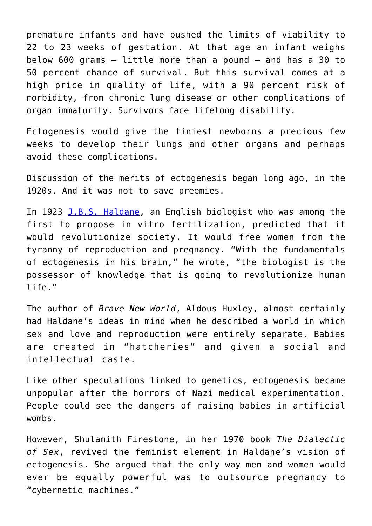premature infants and have pushed the limits of viability to 22 to 23 weeks of gestation. At that age an infant weighs below 600 grams – little more than a pound – and has a 30 to 50 percent chance of survival. But this survival comes at a high price in quality of life, with a 90 percent risk of morbidity, from chronic lung disease or other complications of organ immaturity. Survivors face lifelong disability.

Ectogenesis would give the tiniest newborns a precious few weeks to develop their lungs and other organs and perhaps avoid these complications.

Discussion of the merits of ectogenesis began long ago, in the 1920s. And it was not to save preemies.

In 1923 [J.B.S. Haldane,](https://www.jstor.org/stable/24094583?mag=on-the-history-of-the-artificial-womb) an English biologist who was among the first to propose in vitro fertilization, predicted that it would revolutionize society. It would free women from the tyranny of reproduction and pregnancy. "With the fundamentals of ectogenesis in his brain," he wrote, "the biologist is the possessor of knowledge that is going to revolutionize human life."

The author of *Brave New World*, Aldous Huxley, almost certainly had Haldane's ideas in mind when he described a world in which sex and love and reproduction were entirely separate. Babies are created in "hatcheries" and given a social and intellectual caste.

Like other speculations linked to genetics, ectogenesis became unpopular after the horrors of Nazi medical experimentation. People could see the dangers of raising babies in artificial wombs.

However, Shulamith Firestone, in her 1970 book *The Dialectic of Sex*, revived the feminist element in Haldane's vision of ectogenesis. She argued that the only way men and women would ever be equally powerful was to outsource pregnancy to "cybernetic machines."